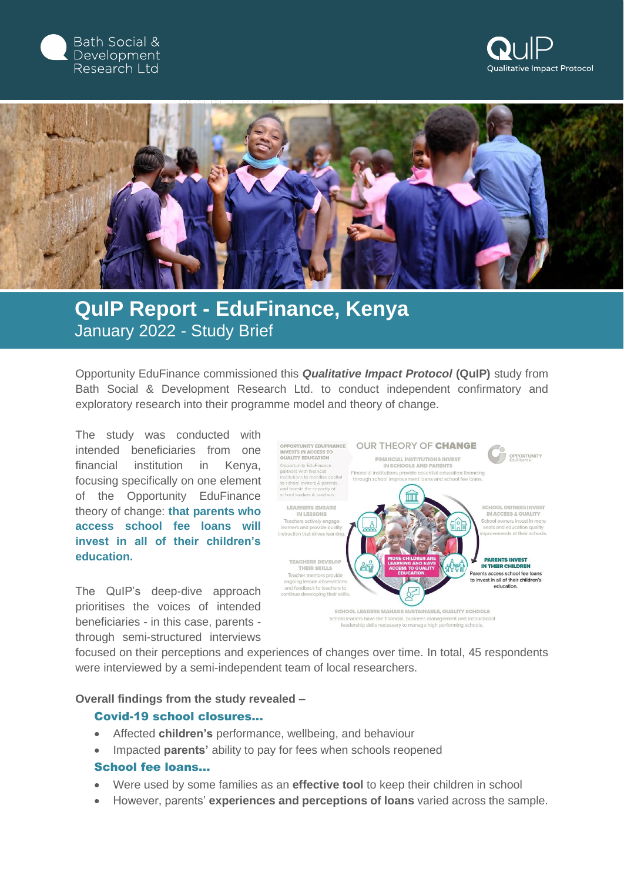





## **QuIP Report - EduFinance, Kenya** January 2022 - Study Brief

Opportunity EduFinance commissioned this *Qualitative Impact Protocol* **(QuIP)** study from Bath Social & Development Research Ltd. to conduct independent confirmatory and exploratory research into their programme model and theory of change.

The study was conducted with intended beneficiaries from one financial institution in Kenya, focusing specifically on one element of the Opportunity EduFinance theory of change: **that parents who access school fee loans will invest in all of their children's education.**

The QuIP's deep-dive approach prioritises the voices of intended beneficiaries - in this case, parents through semi-structured interviews



focused on their perceptions and experiences of changes over time. In total, 45 respondents were interviewed by a semi-independent team of local researchers.

**Overall findings from the study revealed –**

## Covid-19 school closures…

- Affected **children's** performance, wellbeing, and behaviour
- Impacted **parents'** ability to pay for fees when schools reopened

## School fee loans…

- Were used by some families as an **effective tool** to keep their children in school
- However, parents' **experiences and perceptions of loans** varied across the sample.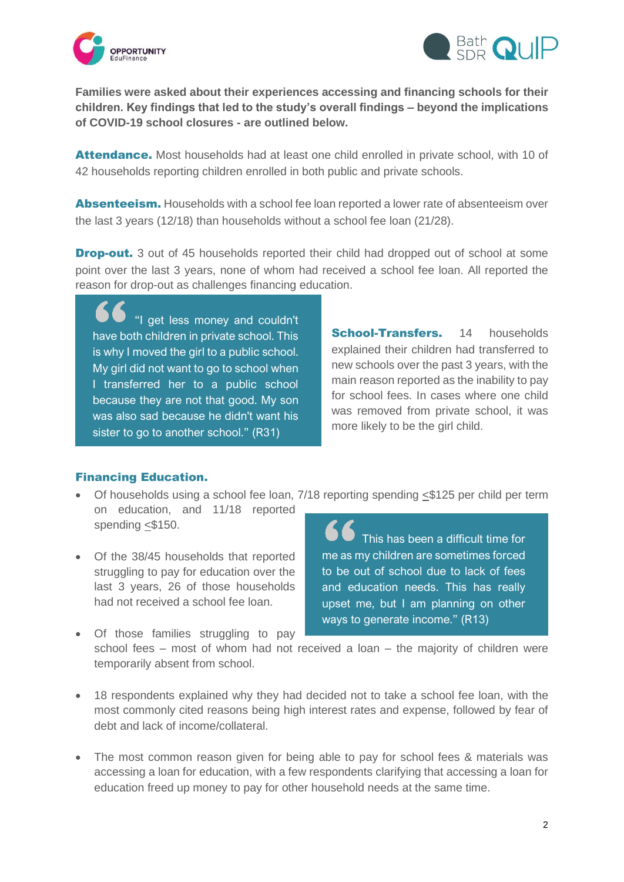



**Families were asked about their experiences accessing and financing schools for their children. Key findings that led to the study's overall findings – beyond the implications of COVID-19 school closures - are outlined below.** 

Attendance. Most households had at least one child enrolled in private school, with 10 of 42 households reporting children enrolled in both public and private schools.

Absenteeism. Households with a school fee loan reported a lower rate of absenteeism over the last 3 years (12/18) than households without a school fee loan (21/28).

**Drop-out.** 3 out of 45 households reported their child had dropped out of school at some point over the last 3 years, none of whom had received a school fee loan. All reported the reason for drop-out as challenges financing education.

"I get less money and couldn't have both children in private school. This is why I moved the girl to a public school. My girl did not want to go to school when I transferred her to a public school because they are not that good. My son was also sad because he didn't want his sister to go to another school." (R31)

School-Transfers. 14 households explained their children had transferred to new schools over the past 3 years, with the main reason reported as the inability to pay for school fees. In cases where one child was removed from private school, it was more likely to be the girl child.

## Financing Education.

- Of households using a school fee loan,  $7/18$  reporting spending  $\leq$ \$125 per child per term on education, and 11/18 reported spending <\$150.
- Of the 38/45 households that reported struggling to pay for education over the last 3 years, 26 of those households had not received a school fee loan.

This has been a difficult time for me as my children are sometimes forced to be out of school due to lack of fees and education needs. This has really upset me, but I am planning on other ways to generate income." (R13)

- Of those families struggling to pay school fees – most of whom had not received a loan – the majority of children were temporarily absent from school.
- 18 respondents explained why they had decided not to take a school fee loan, with the most commonly cited reasons being high interest rates and expense, followed by fear of debt and lack of income/collateral.
- The most common reason given for being able to pay for school fees & materials was accessing a loan for education, with a few respondents clarifying that accessing a loan for education freed up money to pay for other household needs at the same time.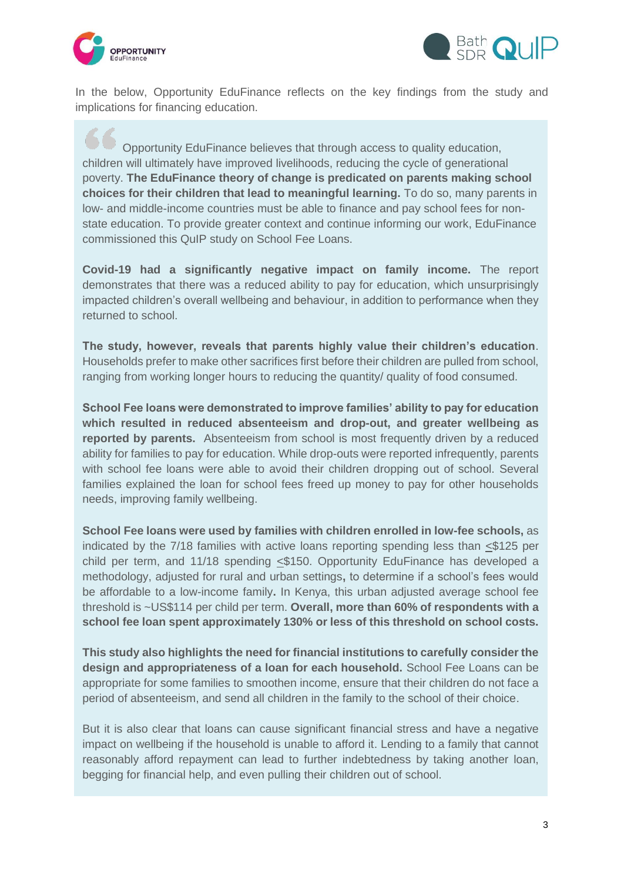



In the below, Opportunity EduFinance reflects on the key findings from the study and implications for financing education.

Opportunity EduFinance believes that through access to quality education, children will ultimately have improved livelihoods, reducing the cycle of generational poverty. **The EduFinance theory of change is predicated on parents making school choices for their children that lead to meaningful learning.** To do so, many parents in low- and middle-income countries must be able to finance and pay school fees for nonstate education. To provide greater context and continue informing our work, EduFinance commissioned this QuIP study on School Fee Loans.

**Covid-19 had a significantly negative impact on family income.** The report demonstrates that there was a reduced ability to pay for education, which unsurprisingly impacted children's overall wellbeing and behaviour, in addition to performance when they returned to school.

**The study, however, reveals that parents highly value their children's education**. Households prefer to make other sacrifices first before their children are pulled from school, ranging from working longer hours to reducing the quantity/ quality of food consumed.

**School Fee loans were demonstrated to improve families' ability to pay for education which resulted in reduced absenteeism and drop-out, and greater wellbeing as reported by parents.** Absenteeism from school is most frequently driven by a reduced ability for families to pay for education. While drop-outs were reported infrequently, parents with school fee loans were able to avoid their children dropping out of school. Several families explained the loan for school fees freed up money to pay for other households needs, improving family wellbeing.

**School Fee loans were used by families with children enrolled in low-fee schools,** as indicated by the 7/18 families with active loans reporting spending less than <\$125 per child per term, and 11/18 spending <\$150. Opportunity EduFinance has developed a methodology, adjusted for rural and urban settings**,** to determine if a school's fees would be affordable to a low-income family**.** In Kenya, this urban adjusted average school fee threshold is ~US\$114 per child per term. **Overall, more than 60% of respondents with a school fee loan spent approximately 130% or less of this threshold on school costs.**

**This study also highlights the need for financial institutions to carefully consider the design and appropriateness of a loan for each household.** School Fee Loans can be appropriate for some families to smoothen income, ensure that their children do not face a period of absenteeism, and send all children in the family to the school of their choice.

But it is also clear that loans can cause significant financial stress and have a negative impact on wellbeing if the household is unable to afford it. Lending to a family that cannot reasonably afford repayment can lead to further indebtedness by taking another loan, begging for financial help, and even pulling their children out of school.